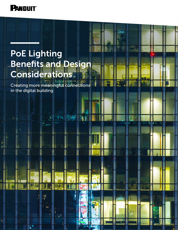

# PoE Lighting Benefits and Design **Considerations**

Creating more meaningful connections in the digital building

 $\frac{m}{2}$ 

TANG

 $\mathbb{S}^{\mathbb{Z}}_{\mathbf{m}}$ 

即  $\mathbf{J}$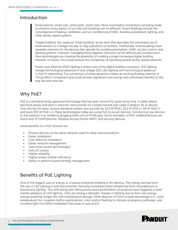### Introduction

Smart devices, smart cars, smart grids, smart cities. More meaningful connections are being made to enhance every aspect of our lives and buildings are no different. Smart Buildings include the convergence of heating, ventilation, and air conditioning (HVAC), building automation, lighting, and other facility-based systems.

"Digital building" has replaced "smart building" as the term that describes the converged use of smart devices to manage the day-to-day operations of facilities. Traditionally, most buildings have separate networks for the devices that operate the building automation, HVAC, access control, and lighting systems. However, managing these separate networks can be difficult and cumbersome. New technologies are creating the possibility of creating a single converged digital building network. In theory, this would remove the complexity of operating several facility-based networks.

Power over Ethernet (PoE) lighting is at the core of this digital building revolution. PoE lighting merges technological advances in low voltage (DC) LED lighting with technological advances in PoE IP networking. The connection of these advances creates an exciting Building Internet of Things (BIoT) component and could provide significant cost savings and unforeseen benefits to the way we work and live.

# Why PoE?

PoE is a standards body approved technology that has been around for quite some time. It safely allows electrical power and data to transmit concurrently on a single twisted-pair cable (Category 5e or above). Over the last 14 years, several standards bodies now provide for 15.4 W (PoE), 25.5 W (PoE+), 60 W (PoE+), and soon 100 W (PoE++). Many technologies today are using PoE to power devices. Connecting new devices to the network is as simple as plugging them into an RJ45 jack. Some examples of PoE-enabled devices are Voice over IP (VoIP) phones, Wireless Access Points (WAP), and security devices.

Some benefits of a PoE network are:

- Powers devices on the same network used for data communications
- Easier installation
- Cost effective installation
- Easier network management
- Uses smart power technologies
- Uses DC power
- Higher reliability
- Higher power transfer efficiency
- Ability to perform power/energy management

# Benefits of PoE Lighting

One of the biggest uses of energy in a typical enterprise building is the lighting. The energy savings from the use of LED lighting is well documented. Recently businesses have transitioned from incandescent to fluorescent lighting. This shift along with falling prices and a proliferation of products have triggered a rapid market adoption of LED lighting. LEDs are driving a dramatic change in lighting due to their vast energy savings potential, longer life, and maintenance savings. Other features of LEDs include wavelength (i.e., color temperature) for circadian rhythm optimization, color and/or flashing to indicate emergency pathways, and constant light (not 60Hz modulated that leads to eye strain).

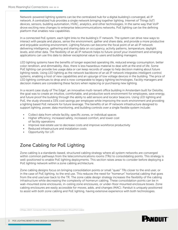Network-powered lighting systems can be the centralized hub for a digital building's converged, all IP network. A centralized hub provides a single network bringing together lighting, Internet of Things (IoT) devices, sensors, building automation, HVAC, analytics, and other technologies. In the same way that VoIP drove exciting new changes to enterprise telecommunications networks, PoE lighting can be the defining platform that enables new capabilities.

In a connected PoE system, each light links to the building's IT network. The system can drive new ways to interact with people and places, sense the environment, gather and share data, and provide a more productive and enjoyable working environment. Lighting fixtures can become the focal point of an all IP network delivering intelligence, gathering and sharing data on occupancy, activity patterns, temperature, daylight levels, and other data. The flexibility of an all IP network helps to future-proof your investment and emerging applications can use this data to deliver exceptional value to users and building managers.

LED lighting systems have the benefits of longer expected operating life, reduced energy consumption, better color rendition, and dimmability. Also, there is less hazardous material to deal with at the end of life. Some PoE lighting can provide live usage data or can keep records of usage to help decision making about future lighting needs. Using LED lighting as the network backbone of an all IP network integrates intelligent control systems, enabling a host of new capabilities and an upsurge of low voltage devices in the building. The price of LED lighting continues to drop and is now comparable to legacy lighting technologies. Facility managers and decision makers are considering these factors when replacing or purchasing new lighting.

In a recent case study of The Edge<sup>1</sup>, an innovative multi-tenant office building in Amsterdam built for Deloitte, the goal was to create an intuitive, comfortable, and productive work environment for employees, save energy, and future proof the building through the ability to add sensors and locator beacons. Using LED lighting and PoE, the study showed a 33% cost savings per employee while improving the work environment and providing a lighting based PoE network for future leverage. The benefits of an IP network infrastructure designed to support lighting, power, data monitoring, and building controls over a single flexible system include:

- Collect data from whole facility, specific zones, or individual spaces
- Higher efficiency, increased safety, increased comfort, and lower cost of facility operations
- Improve real estate use to decrease costs and improve workforce productivity
- Reduced infrastructure and installation costs
- Opportunity for LiFi

# Zone Cabling for PoE Lighting

Zone cabling is a standards-based, structured cabling strategy where all system networks are converged within common pathways from the telecommunications rooms (TRs) to consolidating points. This strategy is well-positioned to enable PoE lighting deployments. This section raises areas to consider before deploying a PoE lighting network within a zone cabling architecture.

Zone cabling designs focus on bringing consolidation points or small "quasi" TRs closer to the end user, or in the case of PoE lighting, to the end use. This reduces the need for "homerun" horizontal cabling that goes from the end use/user back to the TR. The zone cable design strategy increases the flexibility of the cabling infrastructure while decreasing the complexity of homerun cabling. These consolidation points can be in wall-mounted zone enclosures, in-ceiling zone enclosures, or under-floor mounted enclosure boxes. Zone cabling enclosures are easily accessible for moves, adds, and changes (MAC). Panduit is uniquely positioned to assist with both zone cabling and PoE lighting, having extensive experience with both technologies.

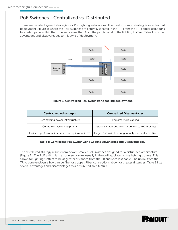### PoE Switches - Centralized vs. Distributed

There are two deployment strategies for PoE lighting installations. The most common strategy is a centralized deployment (Figure 1) where the PoE switches are centrally located in the TR. From the TR, copper cable runs to a patch panel within the zone enclosure, then from the patch panel to the lighting troffers. Table 1 lists the advantages and disadvantages to this style of deployment.



| Switch<br>Telecom<br>Room<br>PoE<br>Troffer<br>Troffer                                                                                            | Zone Enclosur<br>Panel<br>Troffer<br>Patch I<br>Troffer<br>Troffer<br>Figure 1: Centralized PoE switch zone cabling deployment.                                                                                                                                                                                                                                                                                                                             |
|---------------------------------------------------------------------------------------------------------------------------------------------------|-------------------------------------------------------------------------------------------------------------------------------------------------------------------------------------------------------------------------------------------------------------------------------------------------------------------------------------------------------------------------------------------------------------------------------------------------------------|
| <b>Centralized Advantages</b>                                                                                                                     | <b>Centralized Disadvantages</b>                                                                                                                                                                                                                                                                                                                                                                                                                            |
| Uses existing power infrastructure                                                                                                                | Requires more cabling                                                                                                                                                                                                                                                                                                                                                                                                                                       |
| Centralizes active equipment                                                                                                                      | Distance limitations from TR limited to 100m or less                                                                                                                                                                                                                                                                                                                                                                                                        |
| Easier to perform maintenance on equipment in TR                                                                                                  | Larger PoE switches are generally less cost-effective                                                                                                                                                                                                                                                                                                                                                                                                       |
| Table 1: Centralized PoE Switch Zone Cabling Advantages and Disadvantages.<br>several advantages and disadvantages to a distributed architecture. | The distributed strategy results from newer, smaller PoE switches designed for a distributed architecture<br>(Figure 2). The PoE switch is in a zone enclosure, usually in the ceiling, closer to the lighting troffers. This<br>allows for lighting troffers to be at greater distances from the TR and uses less cable. The uplink from the<br>TR to zone enclosure box can be fiber or copper. Fiber connections allow for greater distances. Table 2 li |

#### Table 1: Centralized PoE Switch Zone Cabling Advantages and Disadvantages.

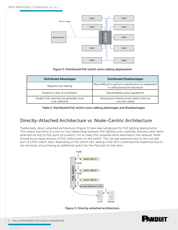

#### Figure 2: Distributed PoE switch zone cabling deployment.

| <b>Distributed Advantages</b>                             | <b>Distributed Disadvantages</b>                                                    |
|-----------------------------------------------------------|-------------------------------------------------------------------------------------|
| Requires less cabling                                     | More difficult to perform maintenance on equipment<br>in ceiling box/zone enclosure |
| Distance is less of a limitation                          | Decentralizes active equipment                                                      |
| Smaller PoE switches are generally more<br>cost-effective | New power infrastructure needs to be run<br>into the ceiling                        |

Table 2: Distributed PoE switch zone cabling advantages and disadvantages.

### Directly-Attached Architecture vs. Node-Centric Architecture

Traditionally, direct-attached architectures (Figure 3) have been employed for PoE lighting deployments. This means that there is a one-to-one relationship between PoE lighting units, switches, and any other items attached via PoE to PoE ports on a switch. For as many PoE powered items attached to the network, there should be an equal amount of PoE switch ports on the switch. This can get expensive due to the cost per port of a PoE switch. Also, depending on the switch size, adding a PoE item could become expensive due to the necessity of purchasing an additional switch for the PoE port for that item.



Figure 3: Directly-attached architecture.

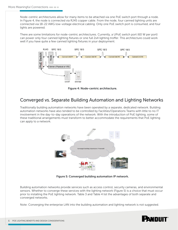Node-centric architectures allow for many items to be attached via one PoE switch port through a node. In Figure 4, the node is connected via RJ45 copper cable. From the node, four canned lighting units are connected via 18-22 AWG low-voltage electrical cabling. Only one PoE switch port is consumed, and four lights are powered.

There are some limitations for node-centric architectures. Currently, a UPoE switch port (60 W per port) can power only four canned lighting fixtures or one full 2x4 lighting troffer. This architecture could work well if you have quite a few canned lighting fixtures in your deployment.



Figure 4: Node-centric architecture.

### Converged vs. Separate Building Automation and Lighting Networks

Traditionally building automation networks have been operated by a separate, dedicated network. Building automation networks have also tended to be controlled by Facilities/Operations Teams with little to no IT involvement in the day-to-day operations of the network. With the introduction of PoE lighting, some of these traditional arrangements must transform to better accommodate the requirements that PoE lighting can apply to a network.



Figure 5: Converged building automation IP network.

Building automation networks provide services such as access control, security cameras, and environmental sensors. Whether to converge these services with the lighting network (Figure 5) is a choice that must occur prior to installing the PoE lighting network. Table 3 and Table 4 list the advantages of both separate and converged networks.

Note: Converging the enterprise LAN into the building automation and lighting network is not suggested.

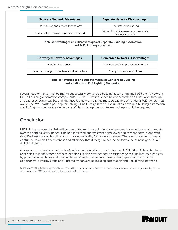| <b>Separate Network Advantages</b>         | <b>Separate Network Disadvantages</b>                        |
|--------------------------------------------|--------------------------------------------------------------|
| Uses existing and proven technology        | Requires more cabling                                        |
| Traditionally the way things have occurred | More difficult to manage two separate<br>facilities networks |

#### Table 3: Advantages and Disadvantages of Separate Building Automation and PoE Lighting Networks.

| <b>Converged Network Advantages</b>         | <b>Converged Network Disadvantages</b> |
|---------------------------------------------|----------------------------------------|
| Requires less cabling                       | Uses new and less proven technology    |
| Easier to manage one network instead of two | Changes normal operations              |

#### Table 4: Advantages and Disadvantages of Converged Building Automation and PoE Lighting Networks.

Several requirements must be met to successfully converge a building automation and PoE lighting network. First, all building automation components must be IP-based or can be connected to an IP network through an adapter or converter. Second, the installed network cabling must be capable of handling PoE (generally 28 AWG – 22 AWG twisted pair copper cabling). Finally, to gain the full value of a converged building automation and PoE lighting network, a single pane of glass management software package would be required.

# Conclusion

LED lighting powered by PoE will be one of the most meaningful developments in our indoor environments over the coming years. Benefits include increased energy savings and lower deployment costs, along with simplified installation, flexibility, and improved reliability for powered devices. These enhancements greatly contribute to overall effectiveness and efficiency that directly impact the performance of next-generation digital buildings.

A company must make a multitude of deployment decisions once it chooses PoE lighting. This technology brief helps to identify some of these decisions. It also provides some assistance to making informed choices by providing advantages and disadvantages of each choice. In summary, this paper clearly shows the opportunity to improve efficiency offered by converging building automation and PoE lighting networks.

DISCLAIMER: This Technology Brief is for informational purposes only. Each customer should evaluate its own requirements prior to determining the POE deployment strategy that best fits its needs.